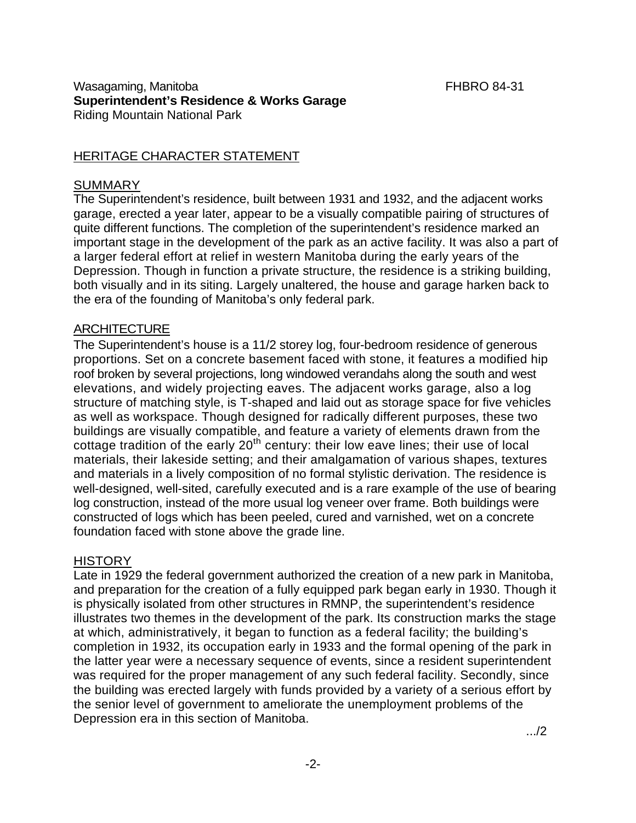#### Wasagaming, Manitoba **FHBRO 84-31 Superintendent's Residence & Works Garage**  Riding Mountain National Park

## HERITAGE CHARACTER STATEMENT

### **SUMMARY**

The Superintendent's residence, built between 1931 and 1932, and the adjacent works garage, erected a year later, appear to be a visually compatible pairing of structures of quite different functions. The completion of the superintendent's residence marked an important stage in the development of the park as an active facility. It was also a part of a larger federal effort at relief in western Manitoba during the early years of the Depression. Though in function a private structure, the residence is a striking building, both visually and in its siting. Largely unaltered, the house and garage harken back to the era of the founding of Manitoba's only federal park.

### ARCHITECTURE

The Superintendent's house is a 11/2 storey log, four-bedroom residence of generous proportions. Set on a concrete basement faced with stone, it features a modified hip roof broken by several projections, long windowed verandahs along the south and west elevations, and widely projecting eaves. The adjacent works garage, also a log structure of matching style, is T-shaped and laid out as storage space for five vehicles as well as workspace. Though designed for radically different purposes, these two buildings are visually compatible, and feature a variety of elements drawn from the cottage tradition of the early  $20<sup>th</sup>$  century: their low eave lines; their use of local materials, their lakeside setting; and their amalgamation of various shapes, textures and materials in a lively composition of no formal stylistic derivation. The residence is well-designed, well-sited, carefully executed and is a rare example of the use of bearing log construction, instead of the more usual log veneer over frame. Both buildings were constructed of logs which has been peeled, cured and varnished, wet on a concrete foundation faced with stone above the grade line.

# **HISTORY**

Late in 1929 the federal government authorized the creation of a new park in Manitoba, and preparation for the creation of a fully equipped park began early in 1930. Though it is physically isolated from other structures in RMNP, the superintendent's residence illustrates two themes in the development of the park. Its construction marks the stage at which, administratively, it began to function as a federal facility; the building's completion in 1932, its occupation early in 1933 and the formal opening of the park in the latter year were a necessary sequence of events, since a resident superintendent was required for the proper management of any such federal facility. Secondly, since the building was erected largely with funds provided by a variety of a serious effort by the senior level of government to ameliorate the unemployment problems of the Depression era in this section of Manitoba.

.../2